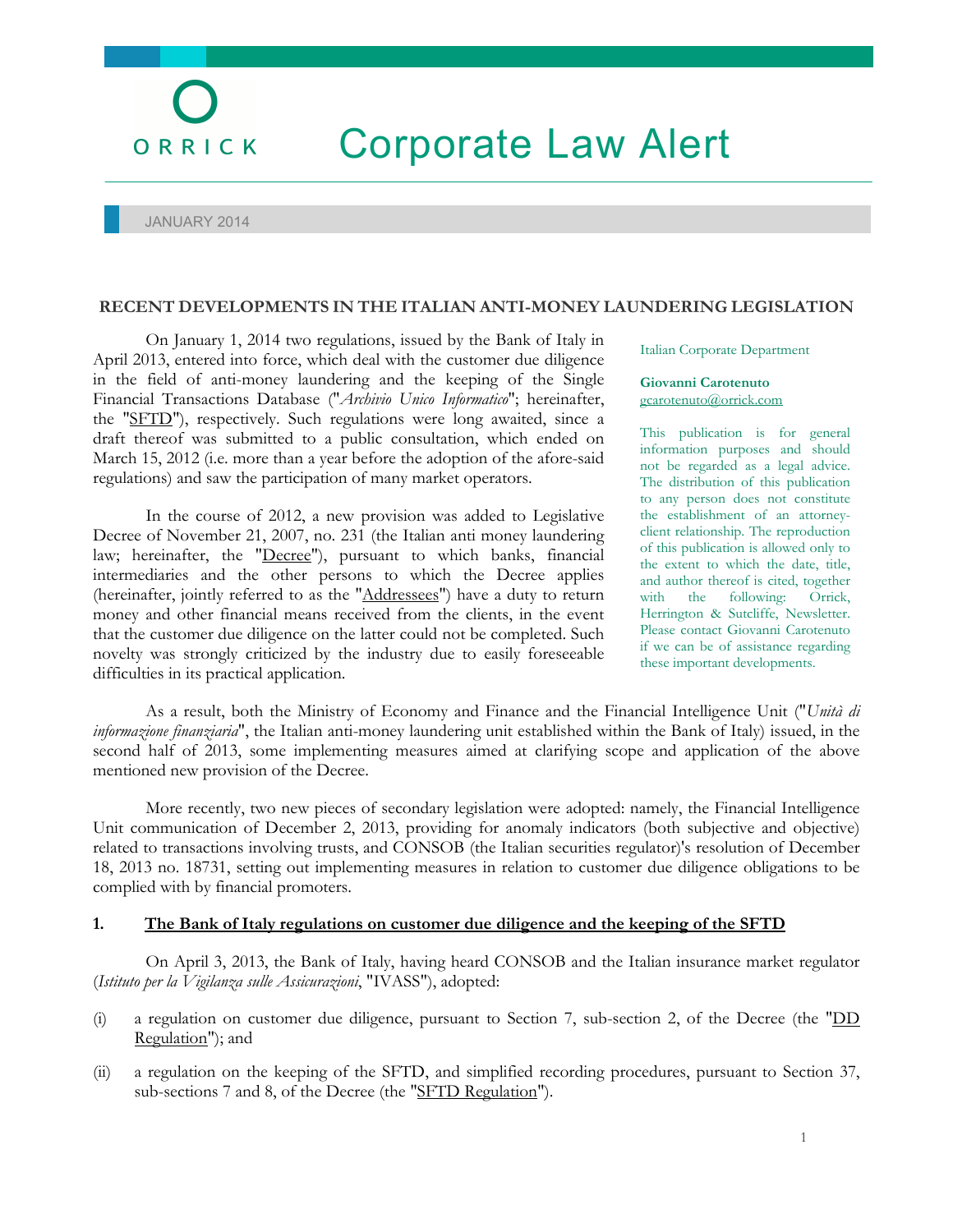# Corporate Law Alert

## JANUARY 2014

ORRICK

#### **RECENT DEVELOPMENTS IN THE ITALIAN ANTI-MONEY LAUNDERING LEGISLATION**

On January 1, 2014 two regulations, issued by the Bank of Italy in April 2013, entered into force, which deal with the customer due diligence in the field of anti-money laundering and the keeping of the Single Financial Transactions Database ("*Archivio Unico Informatico*"; hereinafter, the "SFTD"), respectively. Such regulations were long awaited, since a draft thereof was submitted to a public consultation, which ended on March 15, 2012 (i.e. more than a year before the adoption of the afore-said regulations) and saw the participation of many market operators.

In the course of 2012, a new provision was added to Legislative Decree of November 21, 2007, no. 231 (the Italian anti money laundering law; hereinafter, the "Decree"), pursuant to which banks, financial intermediaries and the other persons to which the Decree applies (hereinafter, jointly referred to as the "Addressees") have a duty to return money and other financial means received from the clients, in the event that the customer due diligence on the latter could not be completed. Such novelty was strongly criticized by the industry due to easily foreseeable difficulties in its practical application.

Italian Corporate Department

#### **Giovanni Carotenuto** gcarotenuto@orrick.com

This publication is for general information purposes and should not be regarded as a legal advice. The distribution of this publication to any person does not constitute the establishment of an attorneyclient relationship. The reproduction of this publication is allowed only to the extent to which the date, title, and author thereof is cited, together with the following: Orrick, Herrington & Sutcliffe, Newsletter. Please contact Giovanni Carotenuto if we can be of assistance regarding these important developments.

As a result, both the Ministry of Economy and Finance and the Financial Intelligence Unit ("*Unità di informazione finanziaria*", the Italian anti-money laundering unit established within the Bank of Italy) issued, in the second half of 2013, some implementing measures aimed at clarifying scope and application of the above mentioned new provision of the Decree.

More recently, two new pieces of secondary legislation were adopted: namely, the Financial Intelligence Unit communication of December 2, 2013, providing for anomaly indicators (both subjective and objective) related to transactions involving trusts, and CONSOB (the Italian securities regulator)'s resolution of December 18, 2013 no. 18731, setting out implementing measures in relation to customer due diligence obligations to be complied with by financial promoters.

# **1. The Bank of Italy regulations on customer due diligence and the keeping of the SFTD**

On April 3, 2013, the Bank of Italy, having heard CONSOB and the Italian insurance market regulator (*Istituto per la Vigilanza sulle Assicurazioni*, "IVASS"), adopted:

- (i) a regulation on customer due diligence, pursuant to Section 7, sub-section 2, of the Decree (the " $\overline{DD}$ Regulation"); and
- (ii) a regulation on the keeping of the SFTD, and simplified recording procedures, pursuant to Section 37, sub-sections 7 and 8, of the Decree (the "SFTD Regulation").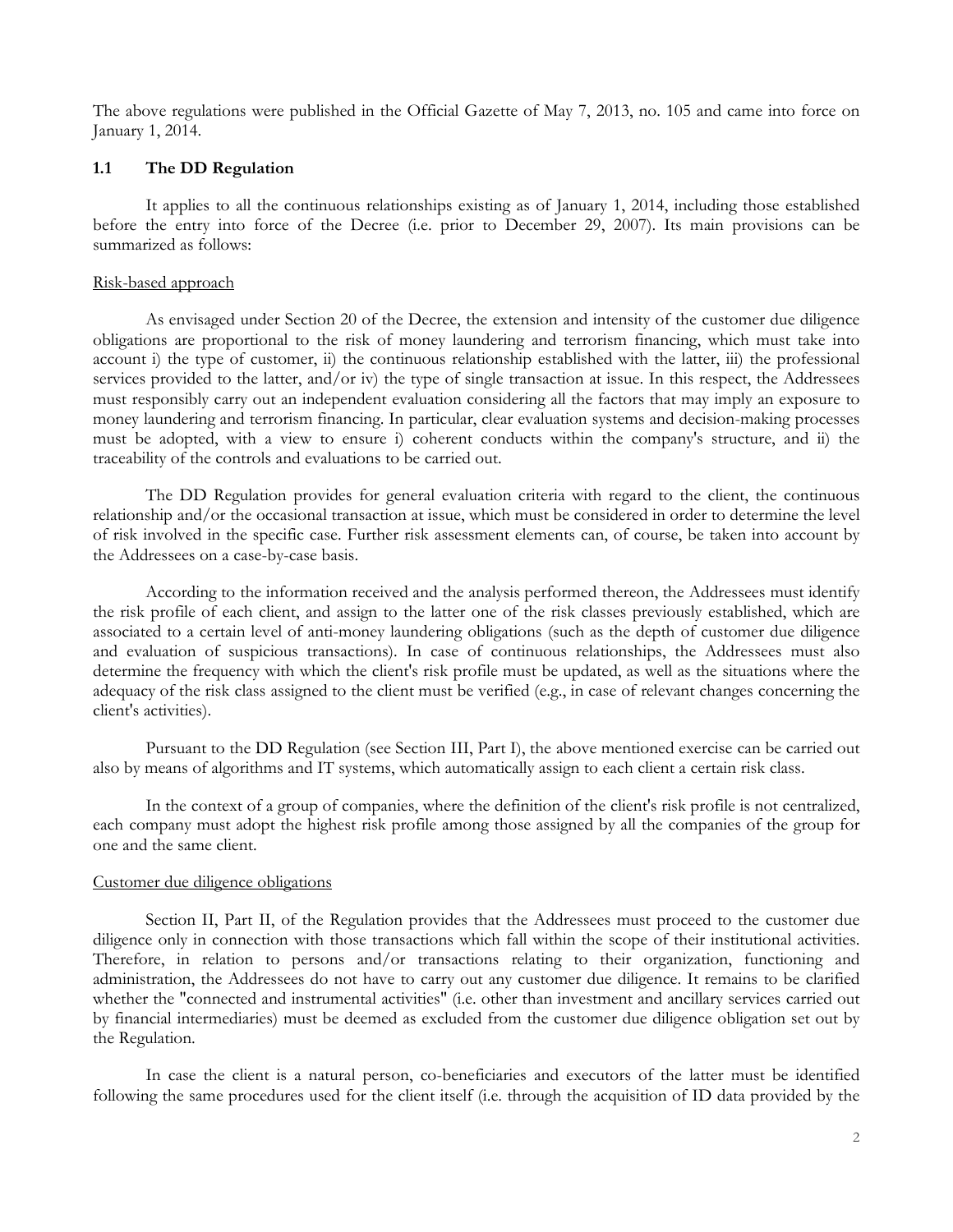The above regulations were published in the Official Gazette of May 7, 2013, no. 105 and came into force on January 1, 2014.

## **1.1 The DD Regulation**

It applies to all the continuous relationships existing as of January 1, 2014, including those established before the entry into force of the Decree (i.e. prior to December 29, 2007). Its main provisions can be summarized as follows:

#### Risk-based approach

As envisaged under Section 20 of the Decree, the extension and intensity of the customer due diligence obligations are proportional to the risk of money laundering and terrorism financing, which must take into account i) the type of customer, ii) the continuous relationship established with the latter, iii) the professional services provided to the latter, and/or iv) the type of single transaction at issue. In this respect, the Addressees must responsibly carry out an independent evaluation considering all the factors that may imply an exposure to money laundering and terrorism financing. In particular, clear evaluation systems and decision-making processes must be adopted, with a view to ensure i) coherent conducts within the company's structure, and ii) the traceability of the controls and evaluations to be carried out.

The DD Regulation provides for general evaluation criteria with regard to the client, the continuous relationship and/or the occasional transaction at issue, which must be considered in order to determine the level of risk involved in the specific case. Further risk assessment elements can, of course, be taken into account by the Addressees on a case-by-case basis.

According to the information received and the analysis performed thereon, the Addressees must identify the risk profile of each client, and assign to the latter one of the risk classes previously established, which are associated to a certain level of anti-money laundering obligations (such as the depth of customer due diligence and evaluation of suspicious transactions). In case of continuous relationships, the Addressees must also determine the frequency with which the client's risk profile must be updated, as well as the situations where the adequacy of the risk class assigned to the client must be verified (e.g., in case of relevant changes concerning the client's activities).

Pursuant to the DD Regulation (see Section III, Part I), the above mentioned exercise can be carried out also by means of algorithms and IT systems, which automatically assign to each client a certain risk class.

In the context of a group of companies, where the definition of the client's risk profile is not centralized, each company must adopt the highest risk profile among those assigned by all the companies of the group for one and the same client.

## Customer due diligence obligations

Section II, Part II, of the Regulation provides that the Addressees must proceed to the customer due diligence only in connection with those transactions which fall within the scope of their institutional activities. Therefore, in relation to persons and/or transactions relating to their organization, functioning and administration, the Addressees do not have to carry out any customer due diligence. It remains to be clarified whether the "connected and instrumental activities" (i.e. other than investment and ancillary services carried out by financial intermediaries) must be deemed as excluded from the customer due diligence obligation set out by the Regulation.

In case the client is a natural person, co-beneficiaries and executors of the latter must be identified following the same procedures used for the client itself (i.e. through the acquisition of ID data provided by the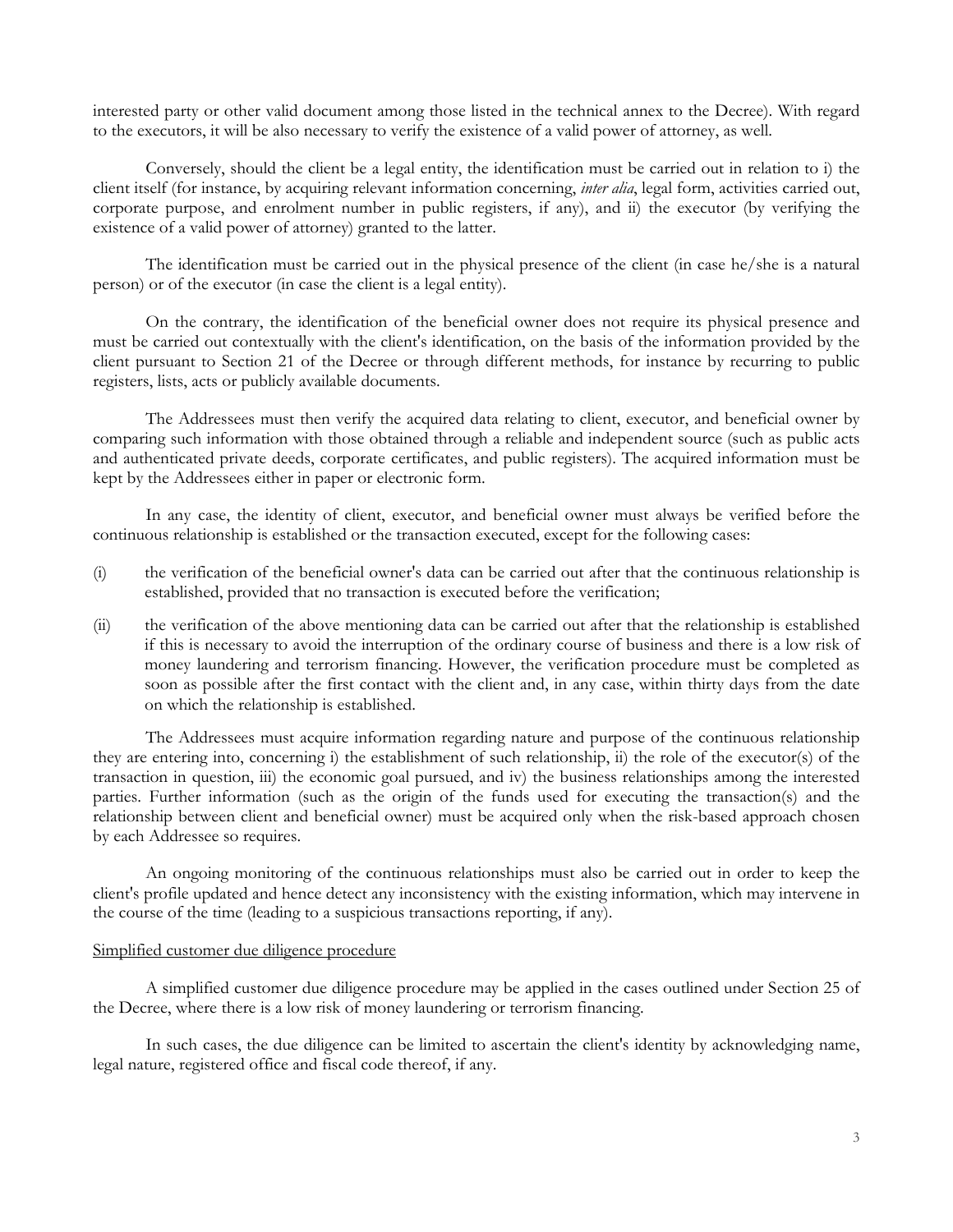interested party or other valid document among those listed in the technical annex to the Decree). With regard to the executors, it will be also necessary to verify the existence of a valid power of attorney, as well.

Conversely, should the client be a legal entity, the identification must be carried out in relation to i) the client itself (for instance, by acquiring relevant information concerning, *inter alia*, legal form, activities carried out, corporate purpose, and enrolment number in public registers, if any), and ii) the executor (by verifying the existence of a valid power of attorney) granted to the latter.

The identification must be carried out in the physical presence of the client (in case he/she is a natural person) or of the executor (in case the client is a legal entity).

On the contrary, the identification of the beneficial owner does not require its physical presence and must be carried out contextually with the client's identification, on the basis of the information provided by the client pursuant to Section 21 of the Decree or through different methods, for instance by recurring to public registers, lists, acts or publicly available documents.

The Addressees must then verify the acquired data relating to client, executor, and beneficial owner by comparing such information with those obtained through a reliable and independent source (such as public acts and authenticated private deeds, corporate certificates, and public registers). The acquired information must be kept by the Addressees either in paper or electronic form.

In any case, the identity of client, executor, and beneficial owner must always be verified before the continuous relationship is established or the transaction executed, except for the following cases:

- (i) the verification of the beneficial owner's data can be carried out after that the continuous relationship is established, provided that no transaction is executed before the verification;
- (ii) the verification of the above mentioning data can be carried out after that the relationship is established if this is necessary to avoid the interruption of the ordinary course of business and there is a low risk of money laundering and terrorism financing. However, the verification procedure must be completed as soon as possible after the first contact with the client and, in any case, within thirty days from the date on which the relationship is established.

The Addressees must acquire information regarding nature and purpose of the continuous relationship they are entering into, concerning i) the establishment of such relationship, ii) the role of the executor(s) of the transaction in question, iii) the economic goal pursued, and iv) the business relationships among the interested parties. Further information (such as the origin of the funds used for executing the transaction(s) and the relationship between client and beneficial owner) must be acquired only when the risk-based approach chosen by each Addressee so requires.

An ongoing monitoring of the continuous relationships must also be carried out in order to keep the client's profile updated and hence detect any inconsistency with the existing information, which may intervene in the course of the time (leading to a suspicious transactions reporting, if any).

# Simplified customer due diligence procedure

A simplified customer due diligence procedure may be applied in the cases outlined under Section 25 of the Decree, where there is a low risk of money laundering or terrorism financing.

In such cases, the due diligence can be limited to ascertain the client's identity by acknowledging name, legal nature, registered office and fiscal code thereof, if any.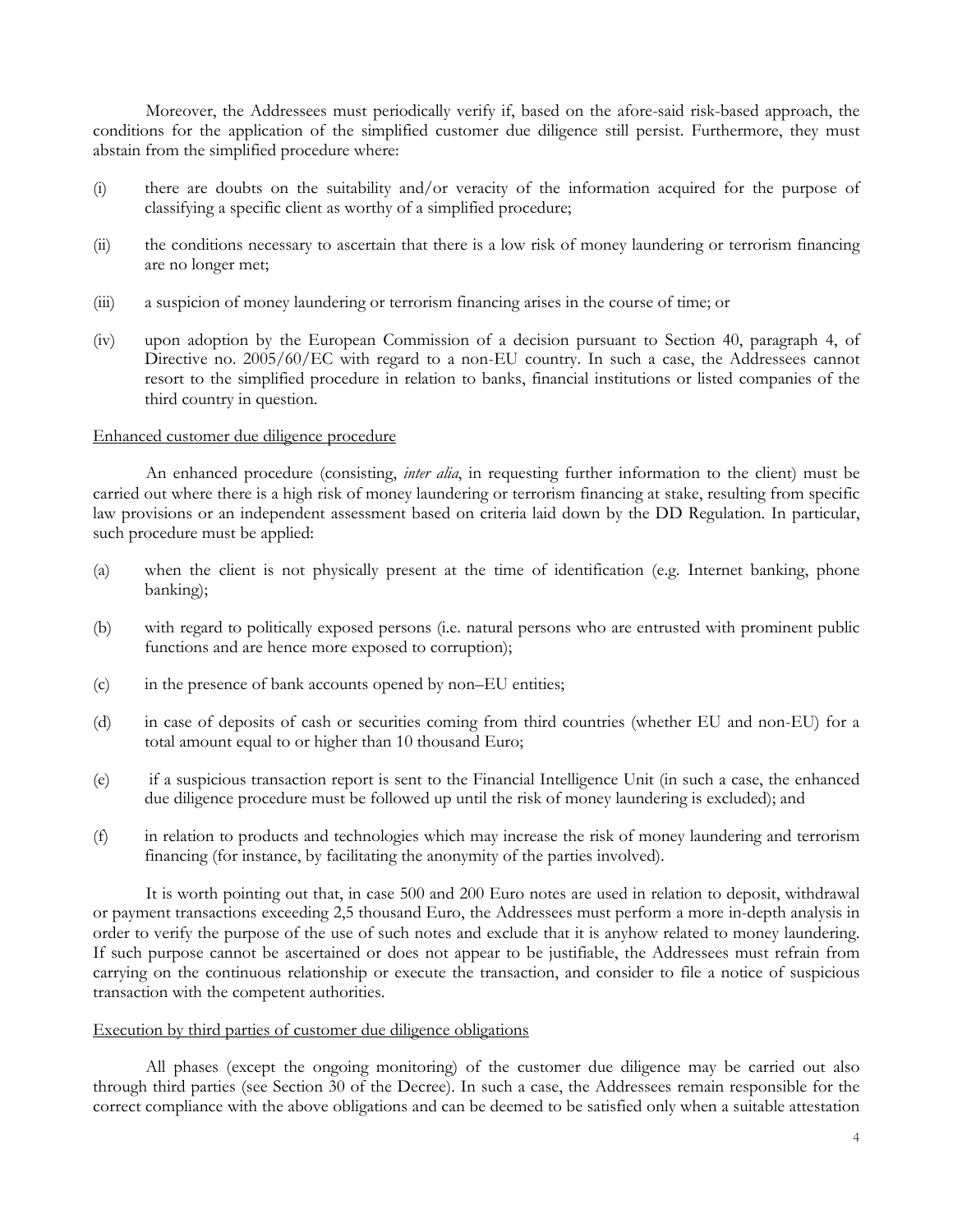Moreover, the Addressees must periodically verify if, based on the afore-said risk-based approach, the conditions for the application of the simplified customer due diligence still persist. Furthermore, they must abstain from the simplified procedure where:

- (i) there are doubts on the suitability and/or veracity of the information acquired for the purpose of classifying a specific client as worthy of a simplified procedure;
- (ii) the conditions necessary to ascertain that there is a low risk of money laundering or terrorism financing are no longer met;
- (iii) a suspicion of money laundering or terrorism financing arises in the course of time; or
- (iv) upon adoption by the European Commission of a decision pursuant to Section 40, paragraph 4, of Directive no. 2005/60/EC with regard to a non-EU country. In such a case, the Addressees cannot resort to the simplified procedure in relation to banks, financial institutions or listed companies of the third country in question.

# Enhanced customer due diligence procedure

An enhanced procedure (consisting, *inter alia*, in requesting further information to the client) must be carried out where there is a high risk of money laundering or terrorism financing at stake, resulting from specific law provisions or an independent assessment based on criteria laid down by the DD Regulation. In particular, such procedure must be applied:

- (a) when the client is not physically present at the time of identification (e.g. Internet banking, phone banking);
- (b) with regard to politically exposed persons (i.e. natural persons who are entrusted with prominent public functions and are hence more exposed to corruption);
- (c) in the presence of bank accounts opened by non–EU entities;
- (d) in case of deposits of cash or securities coming from third countries (whether EU and non-EU) for a total amount equal to or higher than 10 thousand Euro;
- (e) if a suspicious transaction report is sent to the Financial Intelligence Unit (in such a case, the enhanced due diligence procedure must be followed up until the risk of money laundering is excluded); and
- (f) in relation to products and technologies which may increase the risk of money laundering and terrorism financing (for instance, by facilitating the anonymity of the parties involved).

It is worth pointing out that, in case 500 and 200 Euro notes are used in relation to deposit, withdrawal or payment transactions exceeding 2,5 thousand Euro, the Addressees must perform a more in-depth analysis in order to verify the purpose of the use of such notes and exclude that it is anyhow related to money laundering. If such purpose cannot be ascertained or does not appear to be justifiable, the Addressees must refrain from carrying on the continuous relationship or execute the transaction, and consider to file a notice of suspicious transaction with the competent authorities.

## Execution by third parties of customer due diligence obligations

All phases (except the ongoing monitoring) of the customer due diligence may be carried out also through third parties (see Section 30 of the Decree). In such a case, the Addressees remain responsible for the correct compliance with the above obligations and can be deemed to be satisfied only when a suitable attestation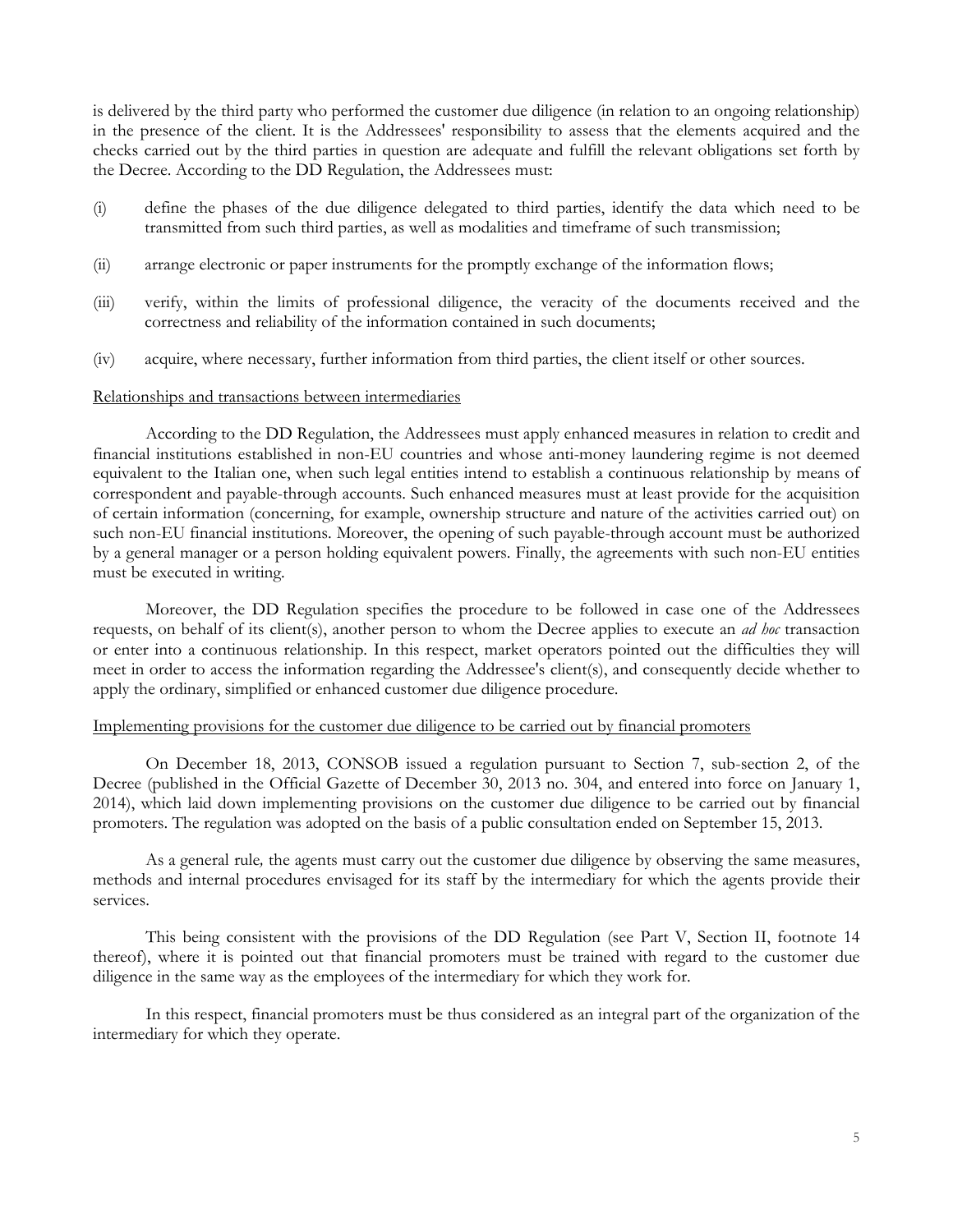is delivered by the third party who performed the customer due diligence (in relation to an ongoing relationship) in the presence of the client. It is the Addressees' responsibility to assess that the elements acquired and the checks carried out by the third parties in question are adequate and fulfill the relevant obligations set forth by the Decree. According to the DD Regulation, the Addressees must:

- (i) define the phases of the due diligence delegated to third parties, identify the data which need to be transmitted from such third parties, as well as modalities and timeframe of such transmission;
- (ii) arrange electronic or paper instruments for the promptly exchange of the information flows;
- (iii) verify, within the limits of professional diligence, the veracity of the documents received and the correctness and reliability of the information contained in such documents;
- (iv) acquire, where necessary, further information from third parties, the client itself or other sources.

# Relationships and transactions between intermediaries

According to the DD Regulation, the Addressees must apply enhanced measures in relation to credit and financial institutions established in non-EU countries and whose anti-money laundering regime is not deemed equivalent to the Italian one, when such legal entities intend to establish a continuous relationship by means of correspondent and payable-through accounts. Such enhanced measures must at least provide for the acquisition of certain information (concerning, for example, ownership structure and nature of the activities carried out) on such non-EU financial institutions. Moreover, the opening of such payable-through account must be authorized by a general manager or a person holding equivalent powers. Finally, the agreements with such non-EU entities must be executed in writing.

Moreover, the DD Regulation specifies the procedure to be followed in case one of the Addressees requests, on behalf of its client(s), another person to whom the Decree applies to execute an *ad hoc* transaction or enter into a continuous relationship. In this respect, market operators pointed out the difficulties they will meet in order to access the information regarding the Addressee's client(s), and consequently decide whether to apply the ordinary, simplified or enhanced customer due diligence procedure.

## Implementing provisions for the customer due diligence to be carried out by financial promoters

On December 18, 2013, CONSOB issued a regulation pursuant to Section 7, sub-section 2, of the Decree (published in the Official Gazette of December 30, 2013 no. 304, and entered into force on January 1, 2014), which laid down implementing provisions on the customer due diligence to be carried out by financial promoters. The regulation was adopted on the basis of a public consultation ended on September 15, 2013.

As a general rule*,* the agents must carry out the customer due diligence by observing the same measures, methods and internal procedures envisaged for its staff by the intermediary for which the agents provide their services.

This being consistent with the provisions of the DD Regulation (see Part V, Section II, footnote 14 thereof), where it is pointed out that financial promoters must be trained with regard to the customer due diligence in the same way as the employees of the intermediary for which they work for.

In this respect, financial promoters must be thus considered as an integral part of the organization of the intermediary for which they operate.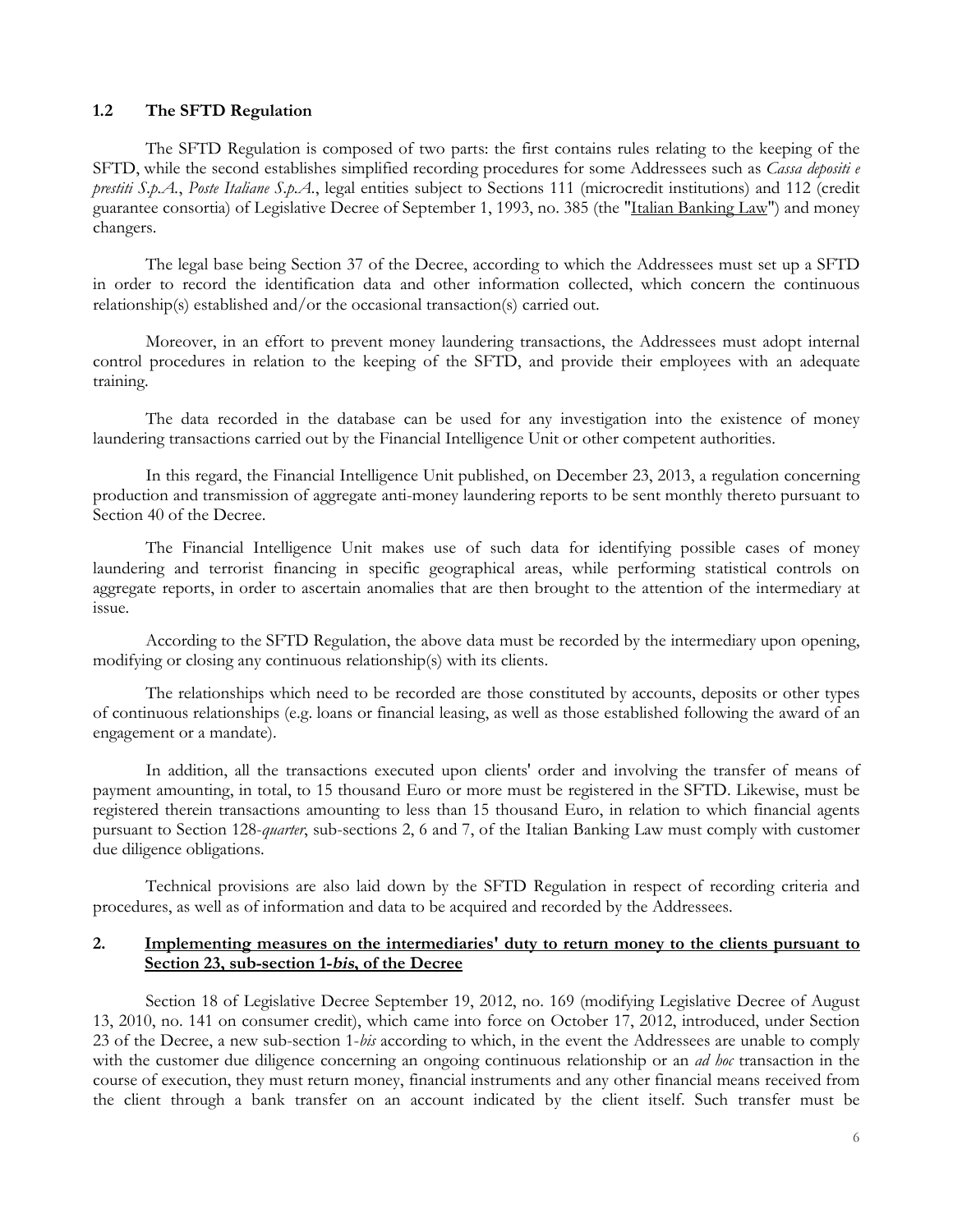# **1.2 The SFTD Regulation**

The SFTD Regulation is composed of two parts: the first contains rules relating to the keeping of the SFTD, while the second establishes simplified recording procedures for some Addressees such as *Cassa depositi e prestiti S.p.A.*, *Poste Italiane S.p.A.*, legal entities subject to Sections 111 (microcredit institutions) and 112 (credit guarantee consortia) of Legislative Decree of September 1, 1993, no. 385 (the "Italian Banking Law") and money changers.

The legal base being Section 37 of the Decree, according to which the Addressees must set up a SFTD in order to record the identification data and other information collected, which concern the continuous relationship(s) established and/or the occasional transaction(s) carried out.

Moreover, in an effort to prevent money laundering transactions, the Addressees must adopt internal control procedures in relation to the keeping of the SFTD, and provide their employees with an adequate training.

The data recorded in the database can be used for any investigation into the existence of money laundering transactions carried out by the Financial Intelligence Unit or other competent authorities.

In this regard, the Financial Intelligence Unit published, on December 23, 2013, a regulation concerning production and transmission of aggregate anti-money laundering reports to be sent monthly thereto pursuant to Section 40 of the Decree.

The Financial Intelligence Unit makes use of such data for identifying possible cases of money laundering and terrorist financing in specific geographical areas, while performing statistical controls on aggregate reports, in order to ascertain anomalies that are then brought to the attention of the intermediary at issue.

According to the SFTD Regulation, the above data must be recorded by the intermediary upon opening, modifying or closing any continuous relationship(s) with its clients.

The relationships which need to be recorded are those constituted by accounts, deposits or other types of continuous relationships (e.g. loans or financial leasing, as well as those established following the award of an engagement or a mandate).

In addition, all the transactions executed upon clients' order and involving the transfer of means of payment amounting, in total, to 15 thousand Euro or more must be registered in the SFTD. Likewise, must be registered therein transactions amounting to less than 15 thousand Euro, in relation to which financial agents pursuant to Section 128-*quarter*, sub-sections 2, 6 and 7, of the Italian Banking Law must comply with customer due diligence obligations.

Technical provisions are also laid down by the SFTD Regulation in respect of recording criteria and procedures, as well as of information and data to be acquired and recorded by the Addressees.

# **2. Implementing measures on the intermediaries' duty to return money to the clients pursuant to Section 23, sub-section 1-bis, of the Decree**

Section 18 of Legislative Decree September 19, 2012, no. 169 (modifying Legislative Decree of August 13, 2010, no. 141 on consumer credit), which came into force on October 17, 2012, introduced, under Section 23 of the Decree, a new sub-section 1-*bis* according to which, in the event the Addressees are unable to comply with the customer due diligence concerning an ongoing continuous relationship or an *ad hoc* transaction in the course of execution, they must return money, financial instruments and any other financial means received from the client through a bank transfer on an account indicated by the client itself. Such transfer must be